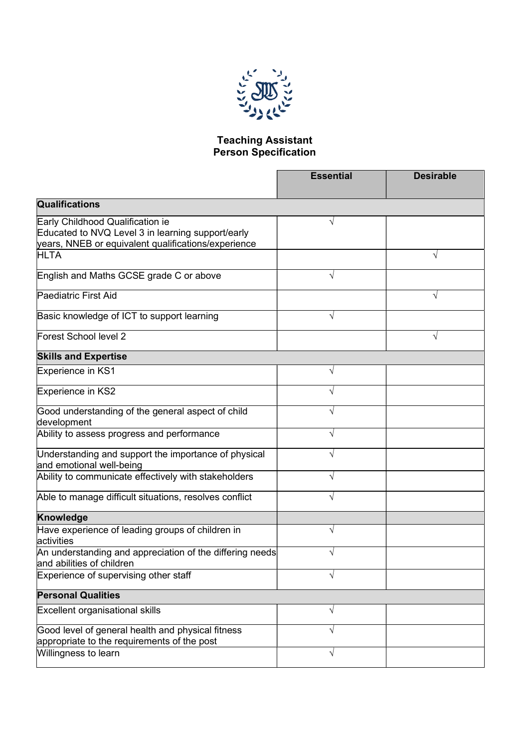

## Teaching Assistant Person Specification

|                                                                                                                                              | <b>Essential</b> | <b>Desirable</b> |
|----------------------------------------------------------------------------------------------------------------------------------------------|------------------|------------------|
| Qualifications                                                                                                                               |                  |                  |
| Early Childhood Qualification ie<br>Educated to NVQ Level 3 in learning support/early<br>years, NNEB or equivalent qualifications/experience |                  |                  |
| <b>HLTA</b>                                                                                                                                  |                  | V                |
| English and Maths GCSE grade C or above                                                                                                      | V                |                  |
| Paediatric First Aid                                                                                                                         |                  | V                |
| Basic knowledge of ICT to support learning                                                                                                   | V                |                  |
| Forest School level 2                                                                                                                        |                  | V                |
| <b>Skills and Expertise</b>                                                                                                                  |                  |                  |
| Experience in KS1                                                                                                                            | $\sqrt{}$        |                  |
| Experience in KS2                                                                                                                            | V                |                  |
| Good understanding of the general aspect of child<br>development                                                                             | V                |                  |
| Ability to assess progress and performance                                                                                                   | $\sqrt{}$        |                  |
| Understanding and support the importance of physical<br>and emotional well-being                                                             | V                |                  |
| Ability to communicate effectively with stakeholders                                                                                         | $\sqrt{}$        |                  |
| Able to manage difficult situations, resolves conflict                                                                                       | V                |                  |
| <b>Knowledge</b>                                                                                                                             |                  |                  |
| Have experience of leading groups of children in<br>activities                                                                               | $\sqrt{}$        |                  |
| An understanding and appreciation of the differing needs<br>and abilities of children                                                        | V                |                  |
| Experience of supervising other staff                                                                                                        | V                |                  |
| <b>Personal Qualities</b>                                                                                                                    |                  |                  |
| Excellent organisational skills                                                                                                              | V                |                  |
| Good level of general health and physical fitness<br>appropriate to the requirements of the post                                             | V                |                  |
| Willingness to learn                                                                                                                         | $\sqrt{ }$       |                  |